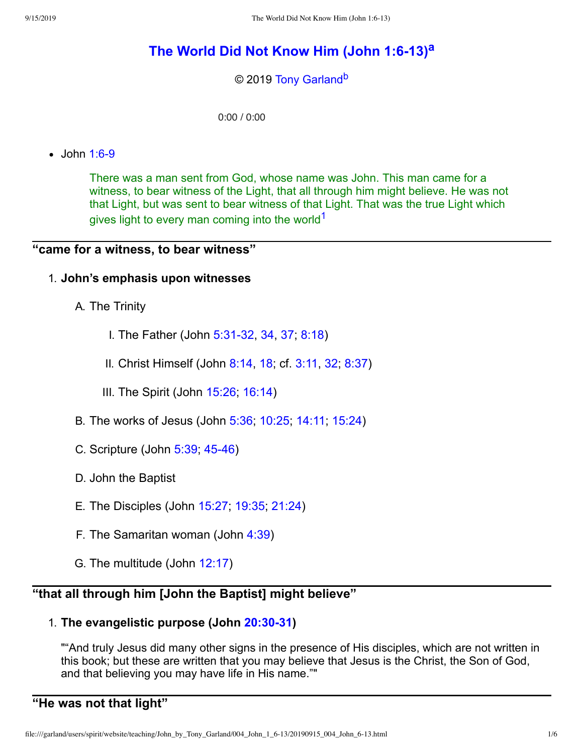# **The World Did Not Know Him (John [1:6-13\)](http://www.spiritandtruth.org/teaching/John_by_Tony_Garland/004_John_1_6-13/index.htm) [a](#page-5-0)**

### <span id="page-0-2"></span><span id="page-0-1"></span>© 2019 [Tony Garland](http://www.spiritandtruth.org/id/tg.htm)<sup>[b](#page-5-1)</sup>

<span id="page-0-0"></span>0:00 / 0:00

 $\bullet$  John [1:6-9](http://www.spiritandtruth.org/bibles/nasb/b43c001.htm#John_C1V6)

There was a man sent from God, whose name was John. This man came for a witness, to bear witness of the Light, that all through him might believe. He was not that Light, but was sent to bear witness of that Light. That was the true Light which gives light to every man coming into the world<sup>[1](#page-5-2)</sup>

# **"came for a witness, to bear witness"**

#### 1. **John's emphasis upon witnesses**

A. The Trinity

- I. The Father (John [5:31-32,](http://www.spiritandtruth.org/bibles/nasb/b43c005.htm#John_C5V31) [34](http://www.spiritandtruth.org/bibles/nasb/b43c005.htm#John_C5V34), [37](http://www.spiritandtruth.org/bibles/nasb/b43c005.htm#John_C5V37); [8:18](http://www.spiritandtruth.org/bibles/nasb/b43c008.htm#John_C8V18))
- II. Christ Himself (John [8:14](http://www.spiritandtruth.org/bibles/nasb/b43c008.htm#John_C8V14), [18](http://www.spiritandtruth.org/bibles/nasb/b43c008.htm#John_C8V18); cf. [3:11,](http://www.spiritandtruth.org/bibles/nasb/b43c003.htm#John_C3V11) [32](http://www.spiritandtruth.org/bibles/nasb/b43c003.htm#John_C3V32); [8:37\)](http://www.spiritandtruth.org/bibles/nasb/b43c008.htm#John_C8V37)
- III. The Spirit (John [15:26](http://www.spiritandtruth.org/bibles/nasb/b43c015.htm#John_C15V26); [16:14\)](http://www.spiritandtruth.org/bibles/nasb/b43c016.htm#John_C16V14)
- B. The works of Jesus (John [5:36;](http://www.spiritandtruth.org/bibles/nasb/b43c005.htm#John_C5V36) [10:25](http://www.spiritandtruth.org/bibles/nasb/b43c010.htm#John_C10V25); [14:11;](http://www.spiritandtruth.org/bibles/nasb/b43c014.htm#John_C14V11) [15:24](http://www.spiritandtruth.org/bibles/nasb/b43c015.htm#John_C15V24))
- C. Scripture (John [5:39](http://www.spiritandtruth.org/bibles/nasb/b43c005.htm#John_C5V39); [45-46](http://www.spiritandtruth.org/bibles/nasb/b43c005.htm#John_C5V45))
- D. John the Baptist
- E. The Disciples (John [15:27;](http://www.spiritandtruth.org/bibles/nasb/b43c015.htm#John_C15V27) [19:35](http://www.spiritandtruth.org/bibles/nasb/b43c019.htm#John_C19V35); [21:24\)](http://www.spiritandtruth.org/bibles/nasb/b43c021.htm#John_C21V24)
- F. The Samaritan woman (John [4:39\)](http://www.spiritandtruth.org/bibles/nasb/b43c004.htm#John_C4V39)
- G. The multitude (John [12:17](http://www.spiritandtruth.org/bibles/nasb/b43c012.htm#John_C12V17))

# **"that all through him [John the Baptist] might believe"**

# 1. **The evangelistic purpose (John [20:30-31](http://www.spiritandtruth.org/bibles/nasb/b43c020.htm#John_C20V30))**

""And truly Jesus did many other signs in the presence of His disciples, which are not written in this book; but these are written that you may believe that Jesus is the Christ, the Son of God, and that believing you may have life in His name.""

# **"He was not that light"**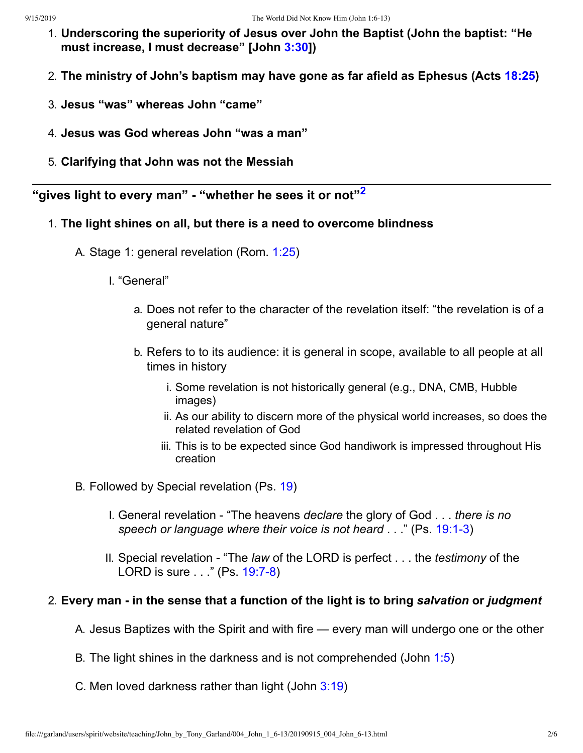- 1. **Underscoring the superiority of Jesus over John the Baptist (John the baptist: "He must increase, I must decrease" [John [3:30\]](http://www.spiritandtruth.org/bibles/nasb/b43c003.htm#John_C3V30))**
- 2. **The ministry of John's baptism may have gone as far afield as Ephesus (Acts [18:25](http://www.spiritandtruth.org/bibles/nasb/b44c018.htm#Acts_C18V25))**
- 3. **Jesus "was" whereas John "came"**
- 4. **Jesus was God whereas John "was a man"**
- <span id="page-1-0"></span>5. **Clarifying that John was not the Messiah**

**"gives light to every man" - "whether he sees it or not" [2](#page-5-3)**

- 1. **The light shines on all, but there is a need to overcome blindness**
	- A. Stage 1: general revelation (Rom. [1:25](http://www.spiritandtruth.org/bibles/nasb/b45c001.htm#Rom._C1V25))
		- I. "General"
			- a. Does not refer to the character of the revelation itself: "the revelation is of a general nature"
			- b. Refers to to its audience: it is general in scope, available to all people at all times in history
				- i. Some revelation is not historically general (e.g., DNA, CMB, Hubble images)
				- ii. As our ability to discern more of the physical world increases, so does the related revelation of God
				- iii. This is to be expected since God handiwork is impressed throughout His creation
	- B. Followed by Special revelation (Ps. [19\)](http://www.spiritandtruth.org/bibles/nasb/b19c019.htm#Ps._C19V1)
		- I. General revelation "The heavens *declare* the glory of God . . . *there is no speech or language where their voice is not heard* . . ." (Ps. [19:1-3](http://www.spiritandtruth.org/bibles/nasb/b19c019.htm#Ps._C19V1))
		- II. Special revelation "The *law* of the LORD is perfect . . . the *testimony* of the LORD is sure . . ." (Ps. [19:7-8](http://www.spiritandtruth.org/bibles/nasb/b19c019.htm#Ps._C19V7))

### 2. **Every man - in the sense that a function of the light is to bring** *salvation* **or** *judgment*

- A. Jesus Baptizes with the Spirit and with fire every man will undergo one or the other
- B. The light shines in the darkness and is not comprehended (John [1:5](http://www.spiritandtruth.org/bibles/nasb/b43c001.htm#John_C1V5))
- C. Men loved darkness rather than light (John [3:19\)](http://www.spiritandtruth.org/bibles/nasb/b43c003.htm#John_C3V19)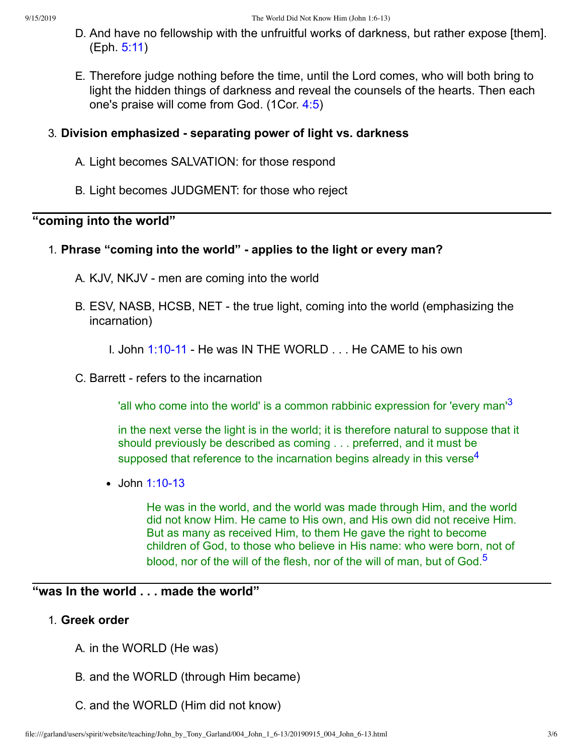- D. And have no fellowship with the unfruitful works of darkness, but rather expose [them]. (Eph. [5:11](http://www.spiritandtruth.org/bibles/nasb/b49c005.htm#Eph._C5V11))
- E. Therefore judge nothing before the time, until the Lord comes, who will both bring to light the hidden things of darkness and reveal the counsels of the hearts. Then each one's praise will come from God. (1Cor. [4:5](http://www.spiritandtruth.org/bibles/nasb/b46c004.htm#1Cor._C4V5))

# 3. **Division emphasized - separating power of light vs. darkness**

- A. Light becomes SALVATION: for those respond
- B. Light becomes JUDGMENT: for those who reject

# **"coming into the world"**

# 1. **Phrase "coming into the world" - applies to the light or every man?**

- A. KJV, NKJV men are coming into the world
- B. ESV, NASB, HCSB, NET the true light, coming into the world (emphasizing the incarnation)

I. John [1:10-11](http://www.spiritandtruth.org/bibles/nasb/b43c001.htm#John_C1V10) - He was IN THE WORLD . . . He CAME to his own

C. Barrett - refers to the incarnation

'all who come into the world' is a common rabbinic expression for 'every man'<sup>[3](#page-5-4)</sup>

in the next verse the light is in the world; it is therefore natural to suppose that it should previously be described as coming . . . preferred, and it must be supposed that reference to the incarnation begins already in this verse<sup>[4](#page-5-5)</sup>

John [1:10-13](http://www.spiritandtruth.org/bibles/nasb/b43c001.htm#John_C1V10)

<span id="page-2-2"></span><span id="page-2-1"></span><span id="page-2-0"></span>He was in the world, and the world was made through Him, and the world did not know Him. He came to His own, and His own did not receive Him. But as many as received Him, to them He gave the right to become children of God, to those who believe in His name: who were born, not of blood, nor of the will of the flesh, nor of the will of man, but of God.<sup>[5](#page-5-6)</sup>

# **"was In the world . . . made the world"**

### 1. **Greek order**

- A. in the WORLD (He was)
- B. and the WORLD (through Him became)
- C. and the WORLD (Him did not know)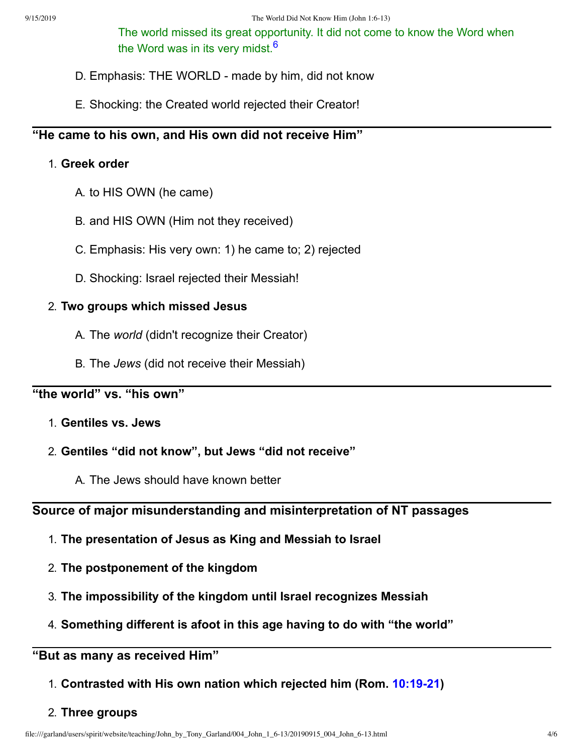<span id="page-3-0"></span>The world missed its great opportunity. It did not come to know the Word when the Word was in its very midst.<sup>[6](#page-5-7)</sup>

- D. Emphasis: THE WORLD made by him, did not know
- E. Shocking: the Created world rejected their Creator!

# **"He came to his own, and His own did not receive Him"**

#### 1. **Greek order**

- A. to HIS OWN (he came)
- B. and HIS OWN (Him not they received)
- C. Emphasis: His very own: 1) he came to; 2) rejected
- D. Shocking: Israel rejected their Messiah!

#### 2. **Two groups which missed Jesus**

- A. The *world* (didn't recognize their Creator)
- B. The *Jews* (did not receive their Messiah)

# **"the world" vs. "his own"**

- 1. **Gentiles vs. Jews**
- 2. **Gentiles "did not know", but Jews "did not receive"**
	- A. The Jews should have known better

# **Source of major misunderstanding and misinterpretation of NT passages**

- 1. **The presentation of Jesus as King and Messiah to Israel**
- 2. **The postponement of the kingdom**
- 3. **The impossibility of the kingdom until Israel recognizes Messiah**
- 4. **Something different is afoot in this age having to do with "the world"**

# **"But as many as received Him"**

1. **Contrasted with His own nation which rejected him (Rom. [10:19-21\)](http://www.spiritandtruth.org/bibles/nasb/b45c010.htm#Rom._C10V19)**

#### 2. **Three groups**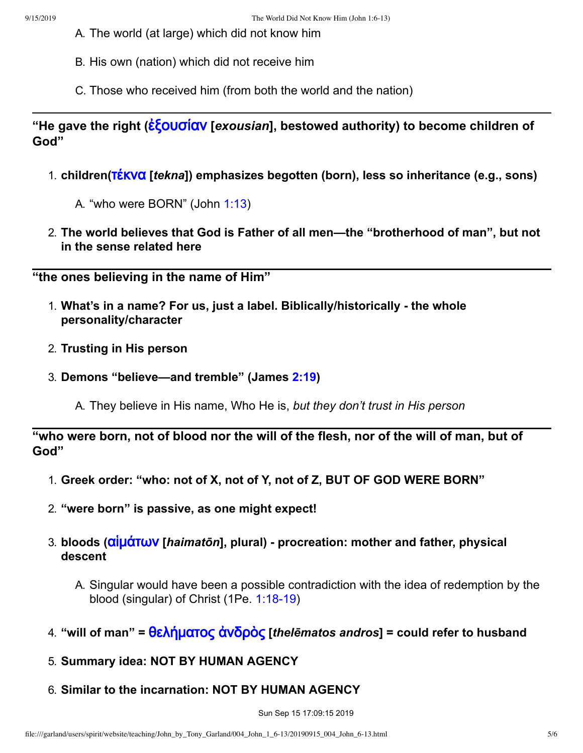- A. The world (at large) which did not know him
- B. His own (nation) which did not receive him
- C. Those who received him (from both the world and the nation)

**"He gave the right (**[ἐξουσίαν](http://www.spiritandtruth.org/fontsu/index.htm) **[***exousian***], bestowed authority) to become children of God"**

- 1. **children(**[τέκνα](http://www.spiritandtruth.org/fontsu/index.htm) **[***tekna***]) emphasizes begotten (born), less so inheritance (e.g., sons)**
	- A. "who were BORN" (John [1:13](http://www.spiritandtruth.org/bibles/nasb/b43c001.htm#John_C1V13))
- 2. **The world believes that God is Father of all men—the "brotherhood of man", but not in the sense related here**

**"the ones believing in the name of Him"**

- 1. **What's in a name? For us, just a label. Biblically/historically - the whole personality/character**
- 2. **Trusting in His person**
- 3. **Demons "believe—and tremble" (James [2:19](http://www.spiritandtruth.org/bibles/nasb/b59c002.htm#Jas._C2V19))**
	- A. They believe in His name, Who He is, *but they don't trust in His person*

"who were born, not of blood nor the will of the flesh, nor of the will of man, but of **God"**

- 1. **Greek order: "who: not of X, not of Y, not of Z, BUT OF GOD WERE BORN"**
- 2. **"were born" is passive, as one might expect!**
- 3. **bloods (**[αἱμάτων](http://www.spiritandtruth.org/fontsu/index.htm) **[***haimatōn***], plural) - procreation: mother and father, physical descent**
	- A. Singular would have been a possible contradiction with the idea of redemption by the blood (singular) of Christ (1Pe. [1:18-19](http://www.spiritandtruth.org/bibles/nasb/b60c001.htm#1Pe._C1V18))
- 4. **"will of man" =** [θελήματος](http://www.spiritandtruth.org/fontsu/index.htm) ἀνδρὸς **[***thelēmatos andros***] = could refer to husband**
- 5. **Summary idea: NOT BY HUMAN AGENCY**
- 6. **Similar to the incarnation: NOT BY HUMAN AGENCY**

Sun Sep 15 17:09:15 2019